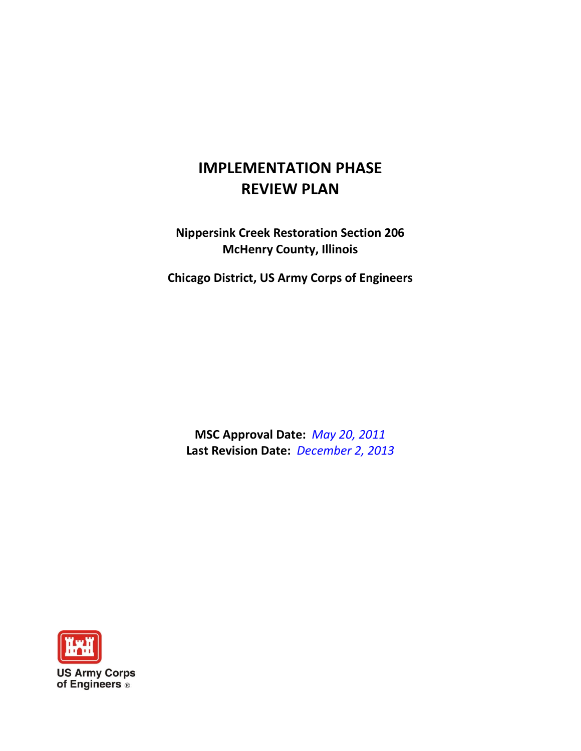# **IMPLEMENTATION PHASE REVIEW PLAN**

**Nippersink Creek Restoration Section 206 McHenry County, Illinois**

**Chicago District, US Army Corps of Engineers**

**MSC Approval Date:** *May 20, 2011* **Last Revision Date:** *December 2, 2013*

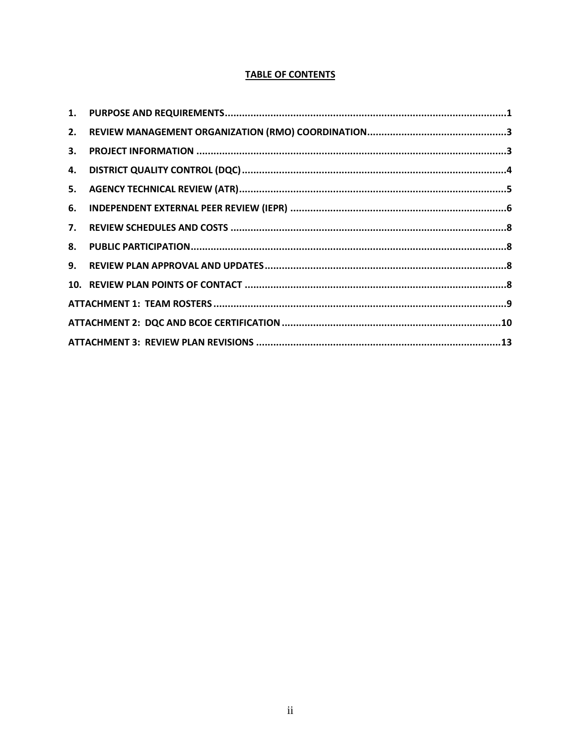# **TABLE OF CONTENTS**

| 3. |  |  |  |  |
|----|--|--|--|--|
|    |  |  |  |  |
|    |  |  |  |  |
|    |  |  |  |  |
|    |  |  |  |  |
|    |  |  |  |  |
|    |  |  |  |  |
|    |  |  |  |  |
|    |  |  |  |  |
|    |  |  |  |  |
|    |  |  |  |  |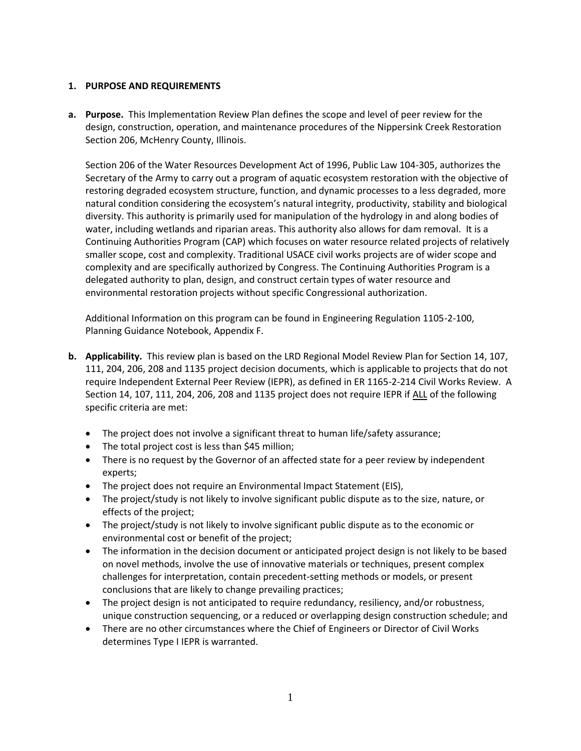# <span id="page-2-0"></span>**1. PURPOSE AND REQUIREMENTS**

**a. Purpose.** This Implementation Review Plan defines the scope and level of peer review for the design, construction, operation, and maintenance procedures of the Nippersink Creek Restoration Section 206, McHenry County, Illinois.

Section 206 of the Water Resources Development Act of 1996, Public Law 104-305, authorizes the Secretary of the Army to carry out a program of aquatic ecosystem restoration with the objective of restoring degraded ecosystem structure, function, and dynamic processes to a less degraded, more natural condition considering the ecosystem's natural integrity, productivity, stability and biological diversity. This authority is primarily used for manipulation of the hydrology in and along bodies of water, including wetlands and riparian areas. This authority also allows for dam removal. It is a Continuing Authorities Program (CAP) which focuses on water resource related projects of relatively smaller scope, cost and complexity. Traditional USACE civil works projects are of wider scope and complexity and are specifically authorized by Congress. The Continuing Authorities Program is a delegated authority to plan, design, and construct certain types of water resource and environmental restoration projects without specific Congressional authorization.

Additional Information on this program can be found in Engineering Regulation 1105-2-100, Planning Guidance Notebook, Appendix F.

- **b. Applicability.** This review plan is based on the LRD Regional Model Review Plan for Section 14, 107, 111, 204, 206, 208 and 1135 project decision documents, which is applicable to projects that do not require Independent External Peer Review (IEPR), as defined in ER 1165-2-214 Civil Works Review. A Section 14, 107, 111, 204, 206, 208 and 1135 project does not require IEPR if ALL of the following specific criteria are met:
	- The project does not involve a significant threat to human life/safety assurance;
	- The total project cost is less than \$45 million;
	- There is no request by the Governor of an affected state for a peer review by independent experts;
	- The project does not require an Environmental Impact Statement (EIS),
	- The project/study is not likely to involve significant public dispute as to the size, nature, or effects of the project;
	- The project/study is not likely to involve significant public dispute as to the economic or environmental cost or benefit of the project;
	- The information in the decision document or anticipated project design is not likely to be based on novel methods, involve the use of innovative materials or techniques, present complex challenges for interpretation, contain precedent-setting methods or models, or present conclusions that are likely to change prevailing practices;
	- The project design is not anticipated to require redundancy, resiliency, and/or robustness, unique construction sequencing, or a reduced or overlapping design construction schedule; and
	- There are no other circumstances where the Chief of Engineers or Director of Civil Works determines Type I IEPR is warranted.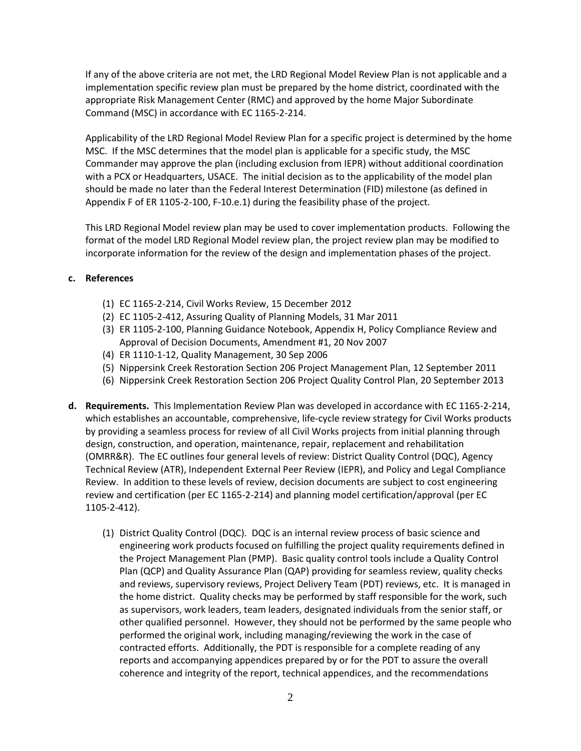If any of the above criteria are not met, the LRD Regional Model Review Plan is not applicable and a implementation specific review plan must be prepared by the home district, coordinated with the appropriate Risk Management Center (RMC) and approved by the home Major Subordinate Command (MSC) in accordance with EC 1165-2-214.

Applicability of the LRD Regional Model Review Plan for a specific project is determined by the home MSC. If the MSC determines that the model plan is applicable for a specific study, the MSC Commander may approve the plan (including exclusion from IEPR) without additional coordination with a PCX or Headquarters, USACE. The initial decision as to the applicability of the model plan should be made no later than the Federal Interest Determination (FID) milestone (as defined in Appendix F of ER 1105-2-100, F-10.e.1) during the feasibility phase of the project.

This LRD Regional Model review plan may be used to cover implementation products. Following the format of the model LRD Regional Model review plan, the project review plan may be modified to incorporate information for the review of the design and implementation phases of the project.

# **c. References**

- (1) EC 1165-2-214, Civil Works Review, 15 December 2012
- (2) EC 1105-2-412, Assuring Quality of Planning Models, 31 Mar 2011
- (3) ER 1105-2-100, Planning Guidance Notebook, Appendix H, Policy Compliance Review and Approval of Decision Documents, Amendment #1, 20 Nov 2007
- (4) ER 1110-1-12, Quality Management, 30 Sep 2006
- (5) Nippersink Creek Restoration Section 206 Project Management Plan, 12 September 2011
- (6) Nippersink Creek Restoration Section 206 Project Quality Control Plan, 20 September 2013
- **d. Requirements.** This Implementation Review Plan was developed in accordance with EC 1165-2-214, which establishes an accountable, comprehensive, life-cycle review strategy for Civil Works products by providing a seamless process for review of all Civil Works projects from initial planning through design, construction, and operation, maintenance, repair, replacement and rehabilitation (OMRR&R). The EC outlines four general levels of review: District Quality Control (DQC), Agency Technical Review (ATR), Independent External Peer Review (IEPR), and Policy and Legal Compliance Review. In addition to these levels of review, decision documents are subject to cost engineering review and certification (per EC 1165-2-214) and planning model certification/approval (per EC 1105-2-412).
	- (1) District Quality Control (DQC). DQC is an internal review process of basic science and engineering work products focused on fulfilling the project quality requirements defined in the Project Management Plan (PMP). Basic quality control tools include a Quality Control Plan (QCP) and Quality Assurance Plan (QAP) providing for seamless review, quality checks and reviews, supervisory reviews, Project Delivery Team (PDT) reviews, etc. It is managed in the home district. Quality checks may be performed by staff responsible for the work, such as supervisors, work leaders, team leaders, designated individuals from the senior staff, or other qualified personnel. However, they should not be performed by the same people who performed the original work, including managing/reviewing the work in the case of contracted efforts. Additionally, the PDT is responsible for a complete reading of any reports and accompanying appendices prepared by or for the PDT to assure the overall coherence and integrity of the report, technical appendices, and the recommendations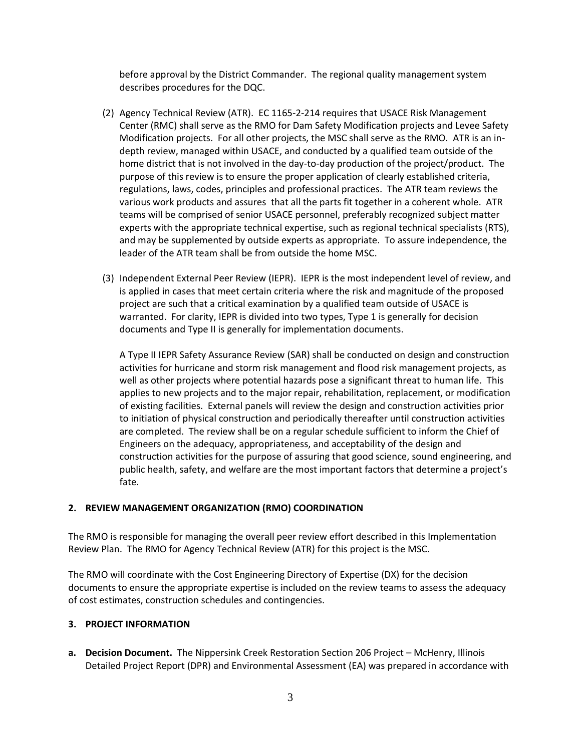before approval by the District Commander. The regional quality management system describes procedures for the DQC.

- (2) Agency Technical Review (ATR). EC 1165-2-214 requires that USACE Risk Management Center (RMC) shall serve as the RMO for Dam Safety Modification projects and Levee Safety Modification projects. For all other projects, the MSC shall serve as the RMO. ATR is an indepth review, managed within USACE, and conducted by a qualified team outside of the home district that is not involved in the day-to-day production of the project/product. The purpose of this review is to ensure the proper application of clearly established criteria, regulations, laws, codes, principles and professional practices. The ATR team reviews the various work products and assures that all the parts fit together in a coherent whole. ATR teams will be comprised of senior USACE personnel, preferably recognized subject matter experts with the appropriate technical expertise, such as regional technical specialists (RTS), and may be supplemented by outside experts as appropriate. To assure independence, the leader of the ATR team shall be from outside the home MSC.
- (3) Independent External Peer Review (IEPR). IEPR is the most independent level of review, and is applied in cases that meet certain criteria where the risk and magnitude of the proposed project are such that a critical examination by a qualified team outside of USACE is warranted. For clarity, IEPR is divided into two types, Type 1 is generally for decision documents and Type II is generally for implementation documents.

A Type II IEPR Safety Assurance Review (SAR) shall be conducted on design and construction activities for hurricane and storm risk management and flood risk management projects, as well as other projects where potential hazards pose a significant threat to human life. This applies to new projects and to the major repair, rehabilitation, replacement, or modification of existing facilities. External panels will review the design and construction activities prior to initiation of physical construction and periodically thereafter until construction activities are completed. The review shall be on a regular schedule sufficient to inform the Chief of Engineers on the adequacy, appropriateness, and acceptability of the design and construction activities for the purpose of assuring that good science, sound engineering, and public health, safety, and welfare are the most important factors that determine a project's fate.

# <span id="page-4-0"></span>**2. REVIEW MANAGEMENT ORGANIZATION (RMO) COORDINATION**

The RMO is responsible for managing the overall peer review effort described in this Implementation Review Plan. The RMO for Agency Technical Review (ATR) for this project is the MSC.

The RMO will coordinate with the Cost Engineering Directory of Expertise (DX) for the decision documents to ensure the appropriate expertise is included on the review teams to assess the adequacy of cost estimates, construction schedules and contingencies.

# <span id="page-4-1"></span>**3. PROJECT INFORMATION**

**a. Decision Document.** The Nippersink Creek Restoration Section 206 Project – McHenry, Illinois Detailed Project Report (DPR) and Environmental Assessment (EA) was prepared in accordance with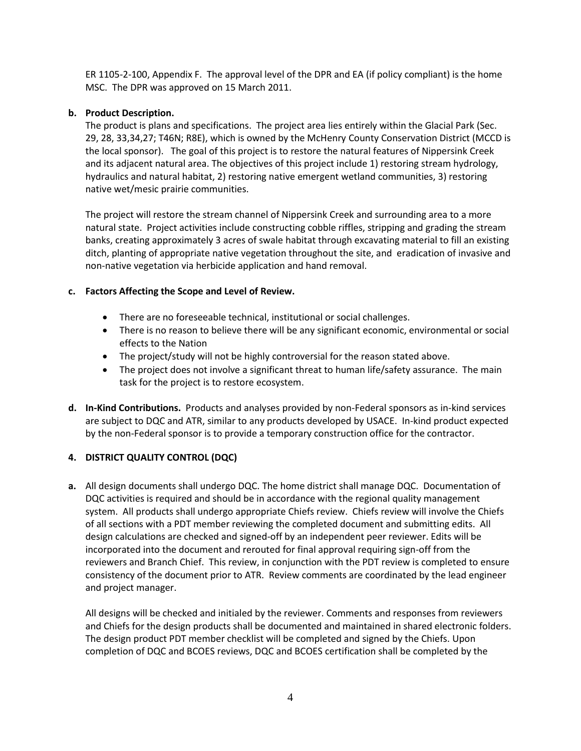ER 1105-2-100, Appendix F. The approval level of the DPR and EA (if policy compliant) is the home MSC. The DPR was approved on 15 March 2011.

# **b. Product Description.**

The product is plans and specifications. The project area lies entirely within the Glacial Park (Sec. 29, 28, 33,34,27; T46N; R8E), which is owned by the McHenry County Conservation District (MCCD is the local sponsor). The goal of this project is to restore the natural features of Nippersink Creek and its adjacent natural area. The objectives of this project include 1) restoring stream hydrology, hydraulics and natural habitat, 2) restoring native emergent wetland communities, 3) restoring native wet/mesic prairie communities.

The project will restore the stream channel of Nippersink Creek and surrounding area to a more natural state. Project activities include constructing cobble riffles, stripping and grading the stream banks, creating approximately 3 acres of swale habitat through excavating material to fill an existing ditch, planting of appropriate native vegetation throughout the site, and eradication of invasive and non-native vegetation via herbicide application and hand removal.

# **c. Factors Affecting the Scope and Level of Review.**

- There are no foreseeable technical, institutional or social challenges.
- There is no reason to believe there will be any significant economic, environmental or social effects to the Nation
- The project/study will not be highly controversial for the reason stated above.
- The project does not involve a significant threat to human life/safety assurance. The main task for the project is to restore ecosystem.
- **d. In-Kind Contributions.** Products and analyses provided by non-Federal sponsors as in-kind services are subject to DQC and ATR, similar to any products developed by USACE. In-kind product expected by the non-Federal sponsor is to provide a temporary construction office for the contractor.

# <span id="page-5-0"></span>**4. DISTRICT QUALITY CONTROL (DQC)**

**a.** All design documents shall undergo DQC. The home district shall manage DQC. Documentation of DQC activities is required and should be in accordance with the regional quality management system. All products shall undergo appropriate Chiefs review. Chiefs review will involve the Chiefs of all sections with a PDT member reviewing the completed document and submitting edits. All design calculations are checked and signed-off by an independent peer reviewer. Edits will be incorporated into the document and rerouted for final approval requiring sign-off from the reviewers and Branch Chief. This review, in conjunction with the PDT review is completed to ensure consistency of the document prior to ATR. Review comments are coordinated by the lead engineer and project manager.

All designs will be checked and initialed by the reviewer. Comments and responses from reviewers and Chiefs for the design products shall be documented and maintained in shared electronic folders. The design product PDT member checklist will be completed and signed by the Chiefs. Upon completion of DQC and BCOES reviews, DQC and BCOES certification shall be completed by the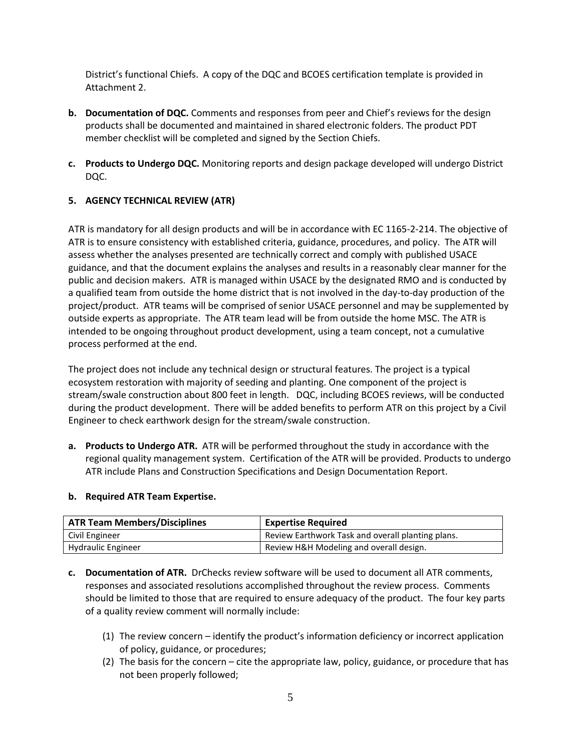District's functional Chiefs. A copy of the DQC and BCOES certification template is provided in Attachment 2.

- **b. Documentation of DQC.** Comments and responses from peer and Chief's reviews for the design products shall be documented and maintained in shared electronic folders. The product PDT member checklist will be completed and signed by the Section Chiefs.
- **c. Products to Undergo DQC.** Monitoring reports and design package developed will undergo District DQC.

# <span id="page-6-0"></span>**5. AGENCY TECHNICAL REVIEW (ATR)**

ATR is mandatory for all design products and will be in accordance with EC 1165-2-214. The objective of ATR is to ensure consistency with established criteria, guidance, procedures, and policy. The ATR will assess whether the analyses presented are technically correct and comply with published USACE guidance, and that the document explains the analyses and results in a reasonably clear manner for the public and decision makers. ATR is managed within USACE by the designated RMO and is conducted by a qualified team from outside the home district that is not involved in the day-to-day production of the project/product. ATR teams will be comprised of senior USACE personnel and may be supplemented by outside experts as appropriate. The ATR team lead will be from outside the home MSC. The ATR is intended to be ongoing throughout product development, using a team concept, not a cumulative process performed at the end.

The project does not include any technical design or structural features. The project is a typical ecosystem restoration with majority of seeding and planting. One component of the project is stream/swale construction about 800 feet in length. DQC, including BCOES reviews, will be conducted during the product development. There will be added benefits to perform ATR on this project by a Civil Engineer to check earthwork design for the stream/swale construction.

**a. Products to Undergo ATR.** ATR will be performed throughout the study in accordance with the regional quality management system. Certification of the ATR will be provided. Products to undergo ATR include Plans and Construction Specifications and Design Documentation Report.

# **b. Required ATR Team Expertise.**

| <b>ATR Team Members/Disciplines</b> | <b>Expertise Required</b>                         |
|-------------------------------------|---------------------------------------------------|
| Civil Engineer                      | Review Earthwork Task and overall planting plans. |
| <b>Hydraulic Engineer</b>           | Review H&H Modeling and overall design.           |

- **c. Documentation of ATR.** DrChecks review software will be used to document all ATR comments, responses and associated resolutions accomplished throughout the review process. Comments should be limited to those that are required to ensure adequacy of the product. The four key parts of a quality review comment will normally include:
	- (1) The review concern identify the product's information deficiency or incorrect application of policy, guidance, or procedures;
	- (2) The basis for the concern cite the appropriate law, policy, guidance, or procedure that has not been properly followed;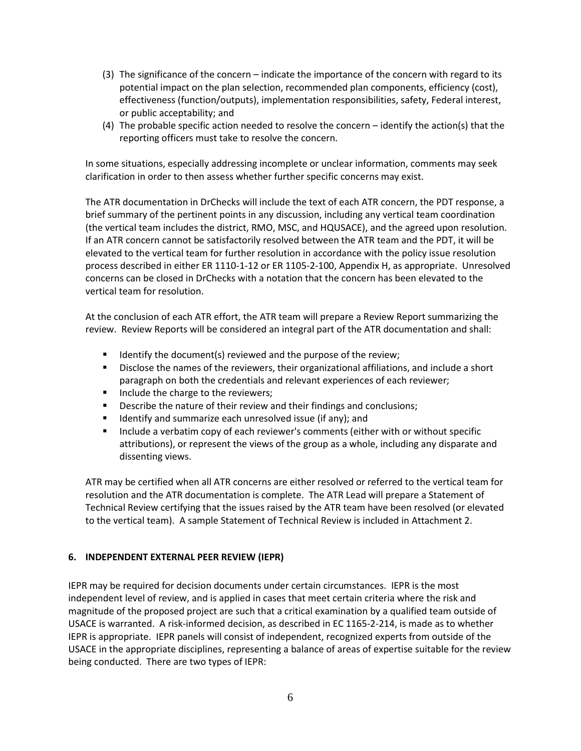- (3) The significance of the concern indicate the importance of the concern with regard to its potential impact on the plan selection, recommended plan components, efficiency (cost), effectiveness (function/outputs), implementation responsibilities, safety, Federal interest, or public acceptability; and
- (4) The probable specific action needed to resolve the concern identify the action(s) that the reporting officers must take to resolve the concern.

In some situations, especially addressing incomplete or unclear information, comments may seek clarification in order to then assess whether further specific concerns may exist.

The ATR documentation in DrChecks will include the text of each ATR concern, the PDT response, a brief summary of the pertinent points in any discussion, including any vertical team coordination (the vertical team includes the district, RMO, MSC, and HQUSACE), and the agreed upon resolution. If an ATR concern cannot be satisfactorily resolved between the ATR team and the PDT, it will be elevated to the vertical team for further resolution in accordance with the policy issue resolution process described in either ER 1110-1-12 or ER 1105-2-100, Appendix H, as appropriate. Unresolved concerns can be closed in DrChecks with a notation that the concern has been elevated to the vertical team for resolution.

At the conclusion of each ATR effort, the ATR team will prepare a Review Report summarizing the review. Review Reports will be considered an integral part of the ATR documentation and shall:

- Identify the document(s) reviewed and the purpose of the review;
- Disclose the names of the reviewers, their organizational affiliations, and include a short paragraph on both the credentials and relevant experiences of each reviewer;
- Include the charge to the reviewers;
- **Describe the nature of their review and their findings and conclusions;**
- **If identify and summarize each unresolved issue (if any); and**
- **Include a verbatim copy of each reviewer's comments (either with or without specific** attributions), or represent the views of the group as a whole, including any disparate and dissenting views.

ATR may be certified when all ATR concerns are either resolved or referred to the vertical team for resolution and the ATR documentation is complete. The ATR Lead will prepare a Statement of Technical Review certifying that the issues raised by the ATR team have been resolved (or elevated to the vertical team). A sample Statement of Technical Review is included in Attachment 2.

# <span id="page-7-0"></span>**6. INDEPENDENT EXTERNAL PEER REVIEW (IEPR)**

IEPR may be required for decision documents under certain circumstances. IEPR is the most independent level of review, and is applied in cases that meet certain criteria where the risk and magnitude of the proposed project are such that a critical examination by a qualified team outside of USACE is warranted. A risk-informed decision, as described in EC 1165-2-214, is made as to whether IEPR is appropriate. IEPR panels will consist of independent, recognized experts from outside of the USACE in the appropriate disciplines, representing a balance of areas of expertise suitable for the review being conducted. There are two types of IEPR: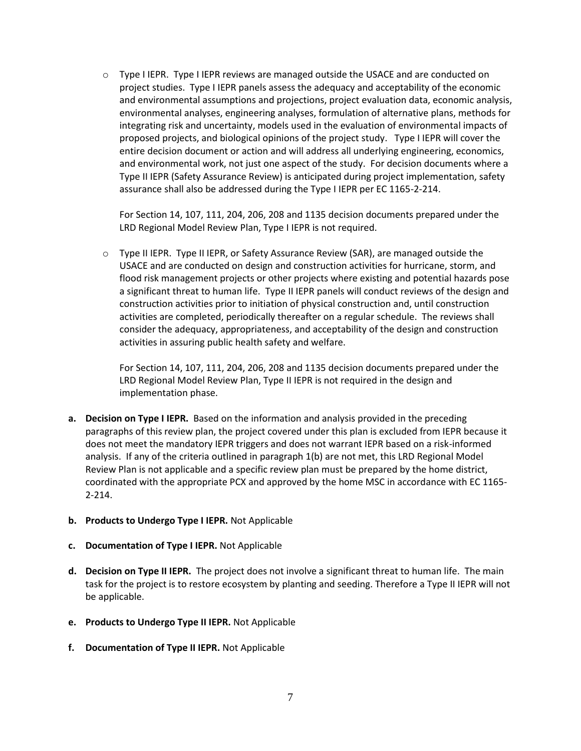$\circ$  Type I IEPR. Type I IEPR reviews are managed outside the USACE and are conducted on project studies. Type I IEPR panels assess the adequacy and acceptability of the economic and environmental assumptions and projections, project evaluation data, economic analysis, environmental analyses, engineering analyses, formulation of alternative plans, methods for integrating risk and uncertainty, models used in the evaluation of environmental impacts of proposed projects, and biological opinions of the project study. Type I IEPR will cover the entire decision document or action and will address all underlying engineering, economics, and environmental work, not just one aspect of the study. For decision documents where a Type II IEPR (Safety Assurance Review) is anticipated during project implementation, safety assurance shall also be addressed during the Type I IEPR per EC 1165-2-214.

For Section 14, 107, 111, 204, 206, 208 and 1135 decision documents prepared under the LRD Regional Model Review Plan, Type I IEPR is not required.

o Type II IEPR. Type II IEPR, or Safety Assurance Review (SAR), are managed outside the USACE and are conducted on design and construction activities for hurricane, storm, and flood risk management projects or other projects where existing and potential hazards pose a significant threat to human life. Type II IEPR panels will conduct reviews of the design and construction activities prior to initiation of physical construction and, until construction activities are completed, periodically thereafter on a regular schedule. The reviews shall consider the adequacy, appropriateness, and acceptability of the design and construction activities in assuring public health safety and welfare.

For Section 14, 107, 111, 204, 206, 208 and 1135 decision documents prepared under the LRD Regional Model Review Plan, Type II IEPR is not required in the design and implementation phase.

- **a. Decision on Type I IEPR.** Based on the information and analysis provided in the preceding paragraphs of this review plan, the project covered under this plan is excluded from IEPR because it does not meet the mandatory IEPR triggers and does not warrant IEPR based on a risk-informed analysis. If any of the criteria outlined in paragraph 1(b) are not met, this LRD Regional Model Review Plan is not applicable and a specific review plan must be prepared by the home district, coordinated with the appropriate PCX and approved by the home MSC in accordance with EC 1165- 2-214.
- **b. Products to Undergo Type I IEPR.** Not Applicable
- **c. Documentation of Type I IEPR.** Not Applicable
- **d. Decision on Type II IEPR.** The project does not involve a significant threat to human life. The main task for the project is to restore ecosystem by planting and seeding. Therefore a Type II IEPR will not be applicable.
- **e. Products to Undergo Type II IEPR.** Not Applicable
- **f. Documentation of Type II IEPR.** Not Applicable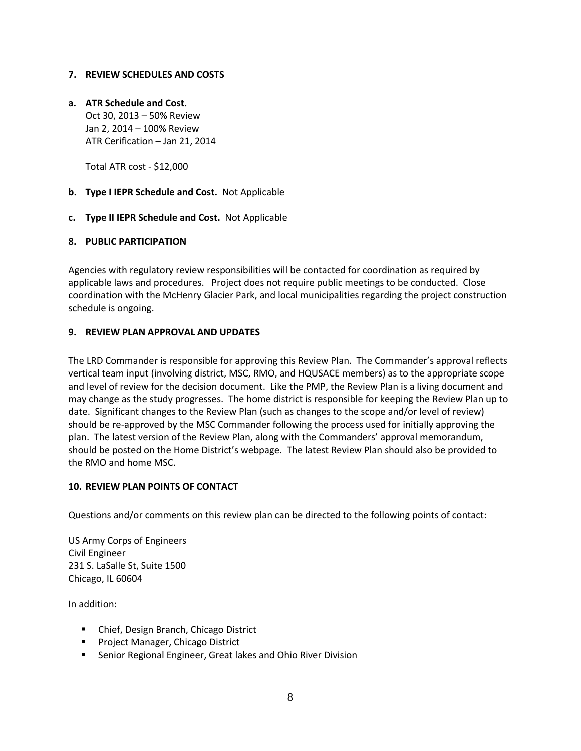# <span id="page-9-0"></span>**7. REVIEW SCHEDULES AND COSTS**

# **a. ATR Schedule and Cost.**

Oct 30, 2013 – 50% Review Jan 2, 2014 – 100% Review ATR Cerification – Jan 21, 2014

Total ATR cost - \$12,000

- **b. Type I IEPR Schedule and Cost.** Not Applicable
- **c. Type II IEPR Schedule and Cost.** Not Applicable

# <span id="page-9-1"></span>**8. PUBLIC PARTICIPATION**

Agencies with regulatory review responsibilities will be contacted for coordination as required by applicable laws and procedures. Project does not require public meetings to be conducted. Close coordination with the McHenry Glacier Park, and local municipalities regarding the project construction schedule is ongoing.

# <span id="page-9-2"></span>**9. REVIEW PLAN APPROVAL AND UPDATES**

The LRD Commander is responsible for approving this Review Plan. The Commander's approval reflects vertical team input (involving district, MSC, RMO, and HQUSACE members) as to the appropriate scope and level of review for the decision document. Like the PMP, the Review Plan is a living document and may change as the study progresses. The home district is responsible for keeping the Review Plan up to date. Significant changes to the Review Plan (such as changes to the scope and/or level of review) should be re-approved by the MSC Commander following the process used for initially approving the plan. The latest version of the Review Plan, along with the Commanders' approval memorandum, should be posted on the Home District's webpage. The latest Review Plan should also be provided to the RMO and home MSC.

# <span id="page-9-3"></span>**10. REVIEW PLAN POINTS OF CONTACT**

Questions and/or comments on this review plan can be directed to the following points of contact:

US Army Corps of Engineers Civil Engineer 231 S. LaSalle St, Suite 1500 Chicago, IL 60604

In addition:

- **EX Chief, Design Branch, Chicago District**
- **Project Manager, Chicago District**
- Senior Regional Engineer, Great lakes and Ohio River Division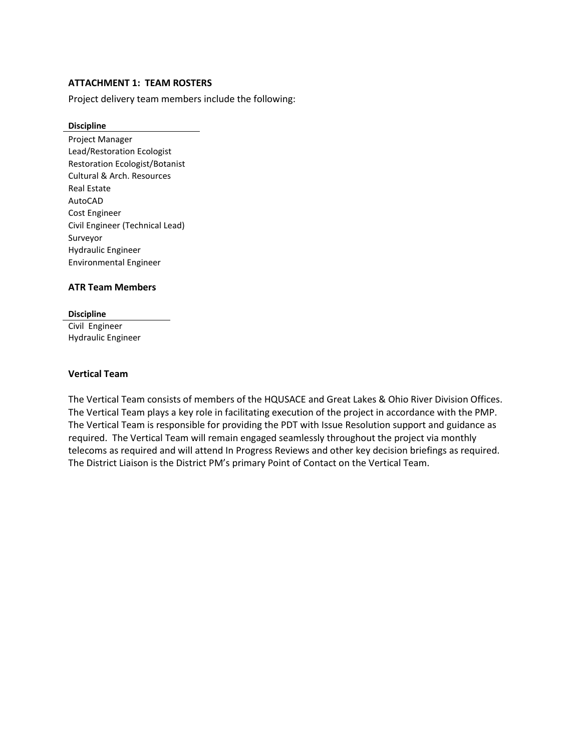# <span id="page-10-0"></span>**ATTACHMENT 1: TEAM ROSTERS**

Project delivery team members include the following:

#### **Discipline**

Project Manager Lead/Restoration Ecologist Restoration Ecologist/Botanist Cultural & Arch. Resources Real Estate AutoCAD Cost Engineer Civil Engineer (Technical Lead) Surveyor Hydraulic Engineer Environmental Engineer

#### **ATR Team Members**

#### **Discipline**

Civil Engineer Hydraulic Engineer

#### **Vertical Team**

The Vertical Team consists of members of the HQUSACE and Great Lakes & Ohio River Division Offices. The Vertical Team plays a key role in facilitating execution of the project in accordance with the PMP. The Vertical Team is responsible for providing the PDT with Issue Resolution support and guidance as required. The Vertical Team will remain engaged seamlessly throughout the project via monthly telecoms as required and will attend In Progress Reviews and other key decision briefings as required. The District Liaison is the District PM's primary Point of Contact on the Vertical Team.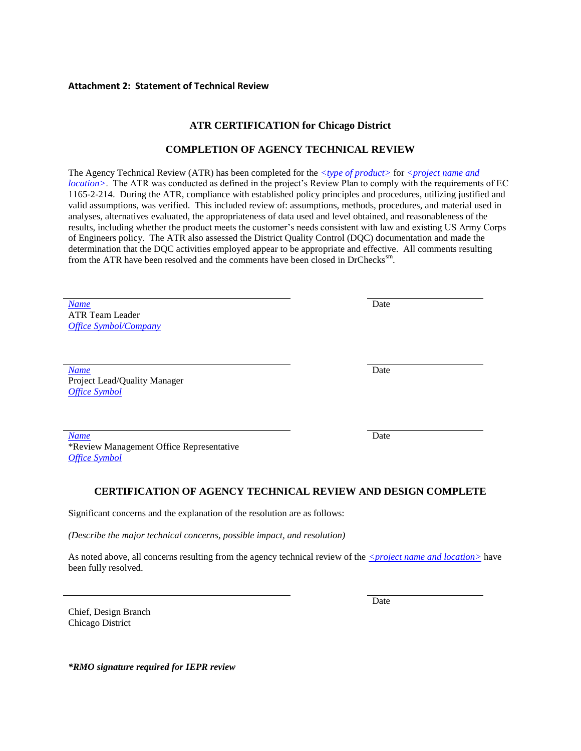#### <span id="page-11-0"></span>**Attachment 2: Statement of Technical Review**

# **ATR CERTIFICATION for Chicago District**

#### **COMPLETION OF AGENCY TECHNICAL REVIEW**

The Agency Technical Review (ATR) has been completed for the  $\leq$ type of product> for  $\leq$ project name and *location*>. The ATR was conducted as defined in the project's Review Plan to comply with the requirements of EC 1165-2-214. During the ATR, compliance with established policy principles and procedures, utilizing justified and valid assumptions, was verified. This included review of: assumptions, methods, procedures, and material used in analyses, alternatives evaluated, the appropriateness of data used and level obtained, and reasonableness of the results, including whether the product meets the customer's needs consistent with law and existing US Army Corps of Engineers policy. The ATR also assessed the District Quality Control (DQC) documentation and made the determination that the DQC activities employed appear to be appropriate and effective. All comments resulting from the ATR have been resolved and the comments have been closed in DrChecks<sup>sm</sup>.

*Name* Date ATR Team Leader *Office Symbol/Company*

*Name* Date Project Lead/Quality Manager *Office Symbol*

*Name* Date \*Review Management Office Representative *Office Symbol*

#### **CERTIFICATION OF AGENCY TECHNICAL REVIEW AND DESIGN COMPLETE**

Significant concerns and the explanation of the resolution are as follows:

*(Describe the major technical concerns, possible impact, and resolution)*

As noted above, all concerns resulting from the agency technical review of the  $\leq$ *project name and location* $>$  have been fully resolved.

Chief, Design Branch Chicago District

Date

*\*RMO signature required for IEPR review*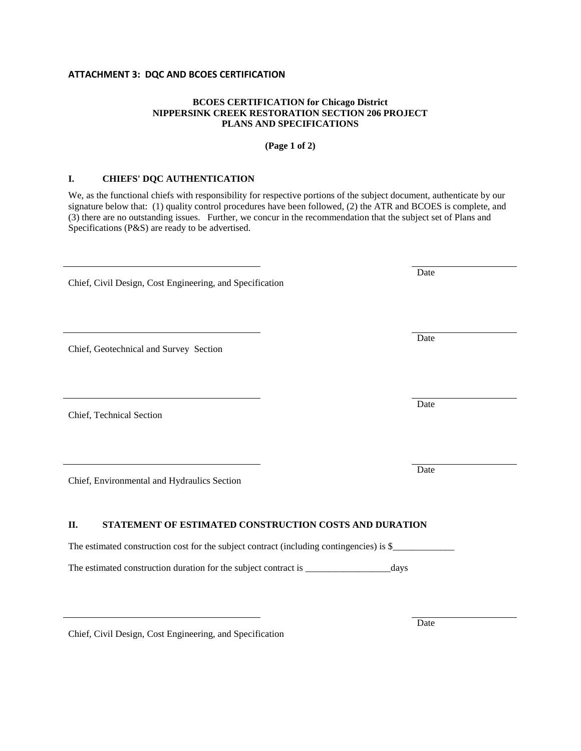#### **ATTACHMENT 3: DQC AND BCOES CERTIFICATION**

#### **BCOES CERTIFICATION for Chicago District NIPPERSINK CREEK RESTORATION SECTION 206 PROJECT PLANS AND SPECIFICATIONS**

#### **(Page 1 of 2)**

#### **I. CHIEFS' DQC AUTHENTICATION**

We, as the functional chiefs with responsibility for respective portions of the subject document, authenticate by our signature below that: (1) quality control procedures have been followed, (2) the ATR and BCOES is complete, and (3) there are no outstanding issues. Further, we concur in the recommendation that the subject set of Plans and Specifications (P&S) are ready to be advertised.

Chief, Civil Design, Cost Engineering, and Specification

Chief, Geotechnical and Survey Section

Chief, Technical Section

Chief, Environmental and Hydraulics Section

#### **II. STATEMENT OF ESTIMATED CONSTRUCTION COSTS AND DURATION**

The estimated construction cost for the subject contract (including contingencies) is \$\_\_\_\_\_\_\_\_\_\_\_\_\_

The estimated construction duration for the subject contract is \_\_\_\_\_\_\_\_\_\_\_\_\_\_\_\_\_\_\_\_\_days

Chief, Civil Design, Cost Engineering, and Specification

Date

Date

Date

Date

Date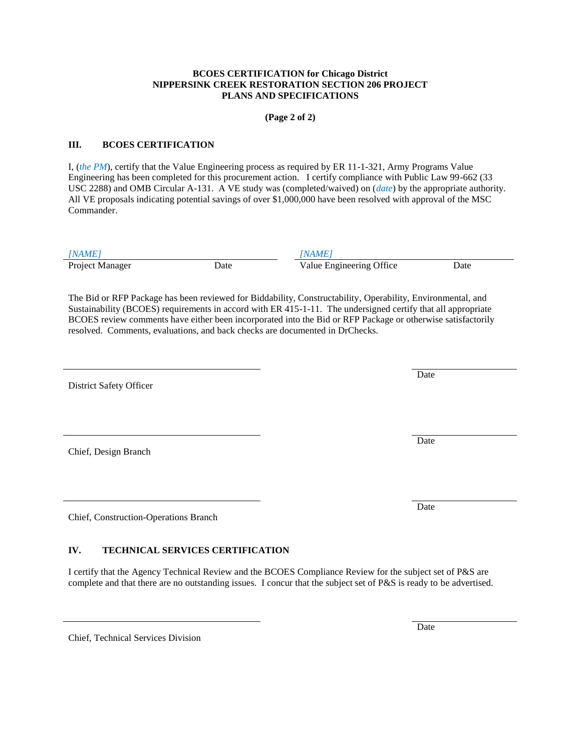#### **BCOES CERTIFICATION for Chicago District NIPPERSINK CREEK RESTORATION SECTION 206 PROJECT PLANS AND SPECIFICATIONS**

**(Page 2 of 2)**

#### **III. BCOES CERTIFICATION**

I, (*the PM*), certify that the Value Engineering process as required by ER 11-1-321, Army Programs Value Engineering has been completed for this procurement action. I certify compliance with Public Law 99-662 (33 USC 2288) and OMB Circular A-131. A VE study was (completed/waived) on (*date*) by the appropriate authority. All VE proposals indicating potential savings of over \$1,000,000 have been resolved with approval of the MSC Commander.

*[NAME] [NAME]* Project Manager **Date** Date **Date** Value Engineering Office Date

The Bid or RFP Package has been reviewed for Biddability, Constructability, Operability, Environmental, and Sustainability (BCOES) requirements in accord with ER 415-1-11. The undersigned certify that all appropriate BCOES review comments have either been incorporated into the Bid or RFP Package or otherwise satisfactorily resolved. Comments, evaluations, and back checks are documented in DrChecks.

District Safety Officer

Chief, Design Branch

Chief, Construction-Operations Branch

# **IV. TECHNICAL SERVICES CERTIFICATION**

I certify that the Agency Technical Review and the BCOES Compliance Review for the subject set of P&S are complete and that there are no outstanding issues. I concur that the subject set of P&S is ready to be advertised.

Chief, Technical Services Division

Date

Date

Date

Date